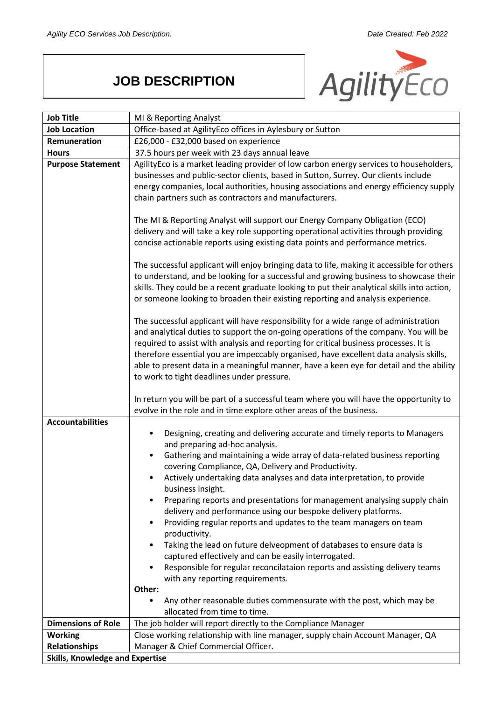## **JOB DESCRIPTION**



| <b>Job Title</b>                       | MI & Reporting Analyst                                                                                                                                                                                                                                                                                                                                                                                                                                                                                                                                                                                                                                                                                                                                                                                                                                                                                                                                                                    |
|----------------------------------------|-------------------------------------------------------------------------------------------------------------------------------------------------------------------------------------------------------------------------------------------------------------------------------------------------------------------------------------------------------------------------------------------------------------------------------------------------------------------------------------------------------------------------------------------------------------------------------------------------------------------------------------------------------------------------------------------------------------------------------------------------------------------------------------------------------------------------------------------------------------------------------------------------------------------------------------------------------------------------------------------|
| <b>Job Location</b>                    | Office-based at AgilityEco offices in Aylesbury or Sutton                                                                                                                                                                                                                                                                                                                                                                                                                                                                                                                                                                                                                                                                                                                                                                                                                                                                                                                                 |
| Remuneration                           | £26,000 - £32,000 based on experience                                                                                                                                                                                                                                                                                                                                                                                                                                                                                                                                                                                                                                                                                                                                                                                                                                                                                                                                                     |
| <b>Hours</b>                           | 37.5 hours per week with 23 days annual leave                                                                                                                                                                                                                                                                                                                                                                                                                                                                                                                                                                                                                                                                                                                                                                                                                                                                                                                                             |
| <b>Purpose Statement</b>               | AgilityEco is a market leading provider of low carbon energy services to householders,<br>businesses and public-sector clients, based in Sutton, Surrey. Our clients include<br>energy companies, local authorities, housing associations and energy efficiency supply<br>chain partners such as contractors and manufacturers.                                                                                                                                                                                                                                                                                                                                                                                                                                                                                                                                                                                                                                                           |
|                                        | The MI & Reporting Analyst will support our Energy Company Obligation (ECO)<br>delivery and will take a key role supporting operational activities through providing<br>concise actionable reports using existing data points and performance metrics.                                                                                                                                                                                                                                                                                                                                                                                                                                                                                                                                                                                                                                                                                                                                    |
|                                        | The successful applicant will enjoy bringing data to life, making it accessible for others<br>to understand, and be looking for a successful and growing business to showcase their<br>skills. They could be a recent graduate looking to put their analytical skills into action,<br>or someone looking to broaden their existing reporting and analysis experience.                                                                                                                                                                                                                                                                                                                                                                                                                                                                                                                                                                                                                     |
|                                        | The successful applicant will have responsibility for a wide range of administration<br>and analytical duties to support the on-going operations of the company. You will be<br>required to assist with analysis and reporting for critical business processes. It is<br>therefore essential you are impeccably organised, have excellent data analysis skills,<br>able to present data in a meaningful manner, have a keen eye for detail and the ability<br>to work to tight deadlines under pressure.                                                                                                                                                                                                                                                                                                                                                                                                                                                                                  |
|                                        | In return you will be part of a successful team where you will have the opportunity to<br>evolve in the role and in time explore other areas of the business.                                                                                                                                                                                                                                                                                                                                                                                                                                                                                                                                                                                                                                                                                                                                                                                                                             |
| <b>Accountabilities</b>                | Designing, creating and delivering accurate and timely reports to Managers<br>and preparing ad-hoc analysis.<br>Gathering and maintaining a wide array of data-related business reporting<br>covering Compliance, QA, Delivery and Productivity.<br>Actively undertaking data analyses and data interpretation, to provide<br>business insight.<br>Preparing reports and presentations for management analysing supply chain<br>delivery and performance using our bespoke delivery platforms.<br>Providing regular reports and updates to the team managers on team<br>$\bullet$<br>productivity.<br>Taking the lead on future delveopment of databases to ensure data is<br>٠<br>captured effectively and can be easily interrogated.<br>Responsible for regular reconcilataion reports and assisting delivery teams<br>$\bullet$<br>with any reporting requirements.<br>Other:<br>Any other reasonable duties commensurate with the post, which may be<br>allocated from time to time. |
| <b>Dimensions of Role</b>              | The job holder will report directly to the Compliance Manager                                                                                                                                                                                                                                                                                                                                                                                                                                                                                                                                                                                                                                                                                                                                                                                                                                                                                                                             |
| <b>Working</b>                         | Close working relationship with line manager, supply chain Account Manager, QA                                                                                                                                                                                                                                                                                                                                                                                                                                                                                                                                                                                                                                                                                                                                                                                                                                                                                                            |
| <b>Relationships</b>                   | Manager & Chief Commercial Officer.                                                                                                                                                                                                                                                                                                                                                                                                                                                                                                                                                                                                                                                                                                                                                                                                                                                                                                                                                       |
| <b>Skills, Knowledge and Expertise</b> |                                                                                                                                                                                                                                                                                                                                                                                                                                                                                                                                                                                                                                                                                                                                                                                                                                                                                                                                                                                           |